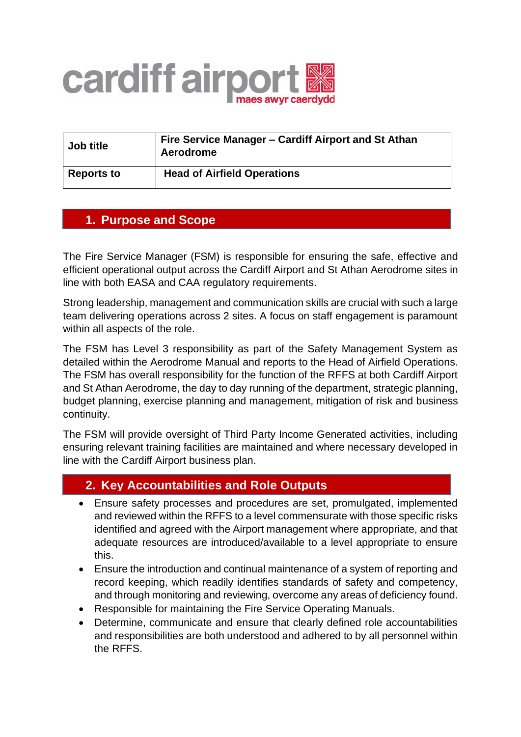

| Job title         | Fire Service Manager – Cardiff Airport and St Athan<br>Aerodrome |
|-------------------|------------------------------------------------------------------|
| <b>Reports to</b> | <b>Head of Airfield Operations</b>                               |

## **1. Purpose and Scope**

The Fire Service Manager (FSM) is responsible for ensuring the safe, effective and efficient operational output across the Cardiff Airport and St Athan Aerodrome sites in line with both EASA and CAA regulatory requirements.

Strong leadership, management and communication skills are crucial with such a large team delivering operations across 2 sites. A focus on staff engagement is paramount within all aspects of the role.

The FSM has Level 3 responsibility as part of the Safety Management System as detailed within the Aerodrome Manual and reports to the Head of Airfield Operations. The FSM has overall responsibility for the function of the RFFS at both Cardiff Airport and St Athan Aerodrome, the day to day running of the department, strategic planning, budget planning, exercise planning and management, mitigation of risk and business continuity.

The FSM will provide oversight of Third Party Income Generated activities, including ensuring relevant training facilities are maintained and where necessary developed in line with the Cardiff Airport business plan.

## **2. Key Accountabilities and Role Outputs**

- Ensure safety processes and procedures are set, promulgated, implemented and reviewed within the RFFS to a level commensurate with those specific risks identified and agreed with the Airport management where appropriate, and that adequate resources are introduced/available to a level appropriate to ensure this.
- Ensure the introduction and continual maintenance of a system of reporting and record keeping, which readily identifies standards of safety and competency, and through monitoring and reviewing, overcome any areas of deficiency found.
- Responsible for maintaining the Fire Service Operating Manuals.
- Determine, communicate and ensure that clearly defined role accountabilities and responsibilities are both understood and adhered to by all personnel within the RFFS.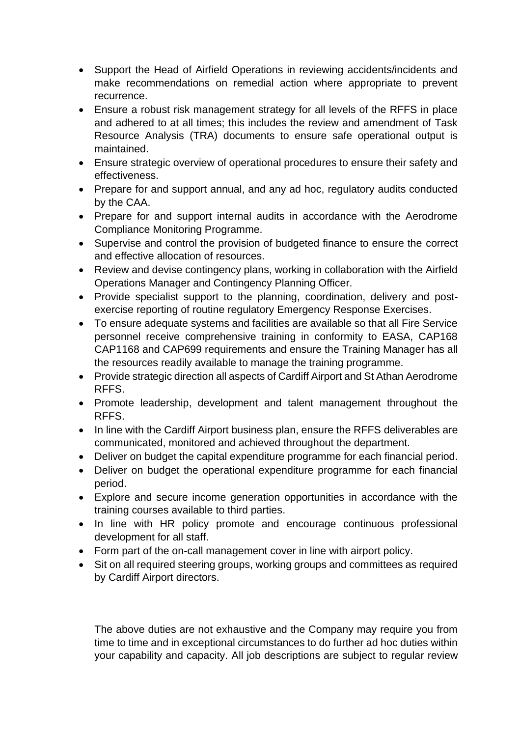- Support the Head of Airfield Operations in reviewing accidents/incidents and make recommendations on remedial action where appropriate to prevent recurrence.
- Ensure a robust risk management strategy for all levels of the RFFS in place and adhered to at all times; this includes the review and amendment of Task Resource Analysis (TRA) documents to ensure safe operational output is maintained.
- Ensure strategic overview of operational procedures to ensure their safety and effectiveness.
- Prepare for and support annual, and any ad hoc, regulatory audits conducted by the CAA.
- Prepare for and support internal audits in accordance with the Aerodrome Compliance Monitoring Programme.
- Supervise and control the provision of budgeted finance to ensure the correct and effective allocation of resources.
- Review and devise contingency plans, working in collaboration with the Airfield Operations Manager and Contingency Planning Officer.
- Provide specialist support to the planning, coordination, delivery and postexercise reporting of routine regulatory Emergency Response Exercises.
- To ensure adequate systems and facilities are available so that all Fire Service personnel receive comprehensive training in conformity to EASA, CAP168 CAP1168 and CAP699 requirements and ensure the Training Manager has all the resources readily available to manage the training programme.
- Provide strategic direction all aspects of Cardiff Airport and St Athan Aerodrome RFFS.
- Promote leadership, development and talent management throughout the RFFS.
- In line with the Cardiff Airport business plan, ensure the RFFS deliverables are communicated, monitored and achieved throughout the department.
- Deliver on budget the capital expenditure programme for each financial period.
- Deliver on budget the operational expenditure programme for each financial period.
- Explore and secure income generation opportunities in accordance with the training courses available to third parties.
- In line with HR policy promote and encourage continuous professional development for all staff.
- Form part of the on-call management cover in line with airport policy.
- Sit on all required steering groups, working groups and committees as required by Cardiff Airport directors.

The above duties are not exhaustive and the Company may require you from time to time and in exceptional circumstances to do further ad hoc duties within your capability and capacity. All job descriptions are subject to regular review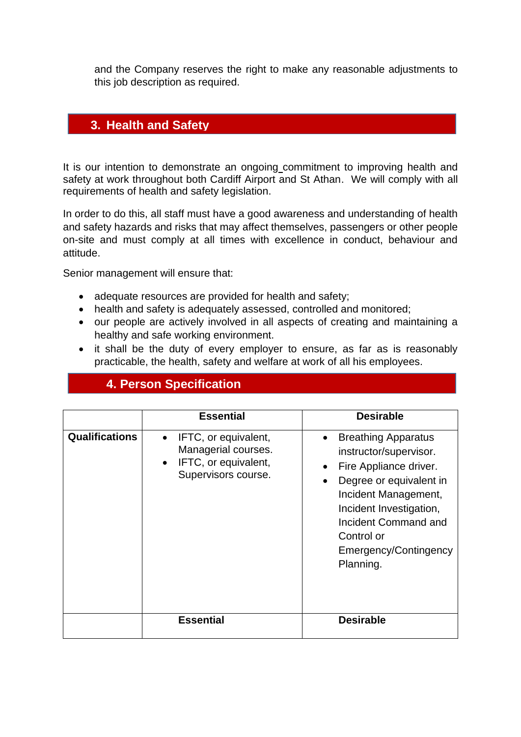and the Company reserves the right to make any reasonable adjustments to this job description as required.

## **director 3. Health and Safety**

It is our intention to demonstrate an ongoing commitment to improving health and safety at work throughout both Cardiff Airport and St Athan. We will comply with all requirements of health and safety legislation.

In order to do this, all staff must have a good awareness and understanding of health and safety hazards and risks that may affect themselves, passengers or other people on-site and must comply at all times with excellence in conduct, behaviour and attitude.

Senior management will ensure that:

- adequate resources are provided for health and safety;
- health and safety is adequately assessed, controlled and monitored;
- our people are actively involved in all aspects of creating and maintaining a healthy and safe working environment.
- it shall be the duty of every employer to ensure, as far as is reasonably practicable, the health, safety and welfare at work of all his employees.

|                       | <b>Essential</b>                                                                                                     | <b>Desirable</b>                                                                                                                                                                                                                                                   |
|-----------------------|----------------------------------------------------------------------------------------------------------------------|--------------------------------------------------------------------------------------------------------------------------------------------------------------------------------------------------------------------------------------------------------------------|
| <b>Qualifications</b> | IFTC, or equivalent,<br>$\bullet$<br>Managerial courses.<br>IFTC, or equivalent,<br>$\bullet$<br>Supervisors course. | <b>Breathing Apparatus</b><br>$\bullet$<br>instructor/supervisor.<br>Fire Appliance driver.<br>$\bullet$<br>Degree or equivalent in<br>Incident Management,<br>Incident Investigation,<br>Incident Command and<br>Control or<br>Emergency/Contingency<br>Planning. |
|                       | <b>Essential</b>                                                                                                     | <b>Desirable</b>                                                                                                                                                                                                                                                   |

## **4. Person Specification**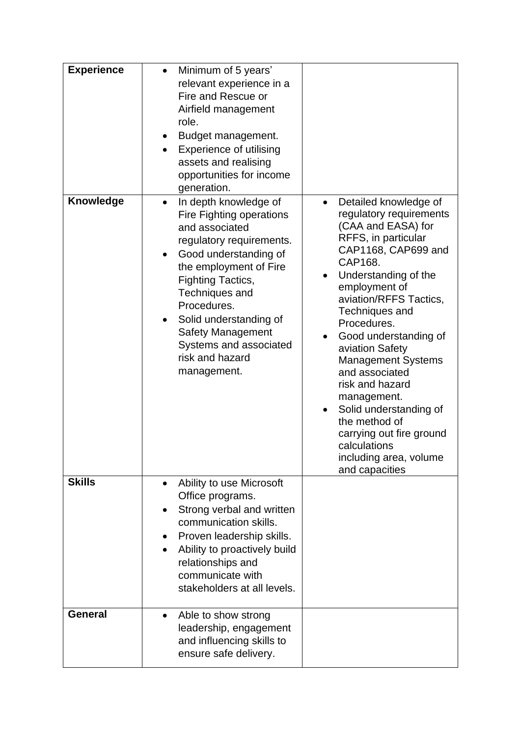| <b>Experience</b> | Minimum of 5 years'<br>$\bullet$<br>relevant experience in a<br>Fire and Rescue or<br>Airfield management<br>role.<br>Budget management.<br><b>Experience of utilising</b><br>assets and realising<br>opportunities for income<br>generation.                                                                                                  |                                                                                                                                                                                                                                                                                                                                                                                                                                                                                                                         |
|-------------------|------------------------------------------------------------------------------------------------------------------------------------------------------------------------------------------------------------------------------------------------------------------------------------------------------------------------------------------------|-------------------------------------------------------------------------------------------------------------------------------------------------------------------------------------------------------------------------------------------------------------------------------------------------------------------------------------------------------------------------------------------------------------------------------------------------------------------------------------------------------------------------|
| <b>Knowledge</b>  | In depth knowledge of<br>$\bullet$<br>Fire Fighting operations<br>and associated<br>regulatory requirements.<br>Good understanding of<br>the employment of Fire<br><b>Fighting Tactics,</b><br>Techniques and<br>Procedures.<br>Solid understanding of<br><b>Safety Management</b><br>Systems and associated<br>risk and hazard<br>management. | Detailed knowledge of<br>$\bullet$<br>regulatory requirements<br>(CAA and EASA) for<br>RFFS, in particular<br>CAP1168, CAP699 and<br>CAP168.<br>Understanding of the<br>employment of<br>aviation/RFFS Tactics,<br><b>Techniques and</b><br>Procedures.<br>Good understanding of<br>aviation Safety<br><b>Management Systems</b><br>and associated<br>risk and hazard<br>management.<br>Solid understanding of<br>the method of<br>carrying out fire ground<br>calculations<br>including area, volume<br>and capacities |
| <b>Skills</b>     | Ability to use Microsoft<br>$\bullet$<br>Office programs.<br>Strong verbal and written<br>communication skills.<br>Proven leadership skills.<br>Ability to proactively build<br>relationships and<br>communicate with<br>stakeholders at all levels.                                                                                           |                                                                                                                                                                                                                                                                                                                                                                                                                                                                                                                         |
| <b>General</b>    | Able to show strong<br>$\bullet$<br>leadership, engagement<br>and influencing skills to<br>ensure safe delivery.                                                                                                                                                                                                                               |                                                                                                                                                                                                                                                                                                                                                                                                                                                                                                                         |